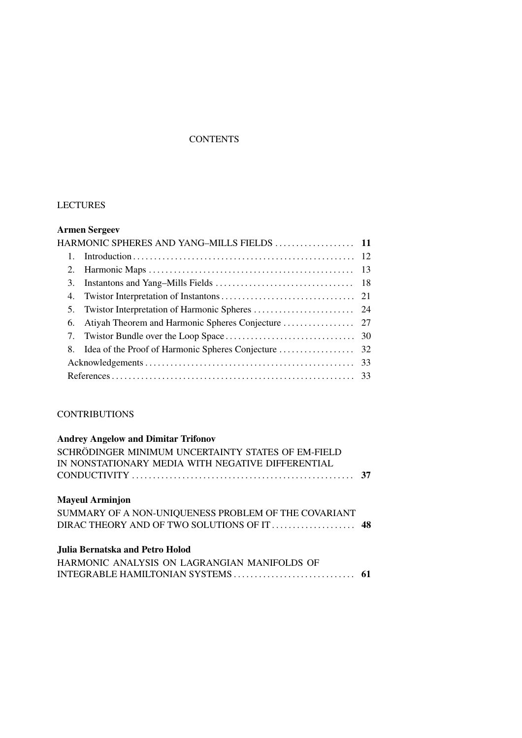## **CONTENTS**

## LECTURES

## **Armen Sergeev**

|  | 3. |  |  |  |  |
|--|----|--|--|--|--|
|  |    |  |  |  |  |
|  |    |  |  |  |  |
|  |    |  |  |  |  |
|  |    |  |  |  |  |
|  |    |  |  |  |  |
|  |    |  |  |  |  |
|  |    |  |  |  |  |
|  |    |  |  |  |  |

## **CONTRIBUTIONS**

| <b>Andrey Angelow and Dimitar Trifonov</b>           |  |  |  |
|------------------------------------------------------|--|--|--|
| SCHRÖDINGER MINIMUM UNCERTAINTY STATES OF EM-FIELD   |  |  |  |
| IN NONSTATIONARY MEDIA WITH NEGATIVE DIFFERENTIAL    |  |  |  |
|                                                      |  |  |  |
| <b>Mayeul Arminjon</b>                               |  |  |  |
| SUMMARY OF A NON-UNIQUENESS PROBLEM OF THE COVARIANT |  |  |  |
|                                                      |  |  |  |
| Julia Bernatska and Petro Holod                      |  |  |  |
| HARMONIC ANALYSIS ON LAGRANGIAN MANIFOLDS OF         |  |  |  |
|                                                      |  |  |  |
|                                                      |  |  |  |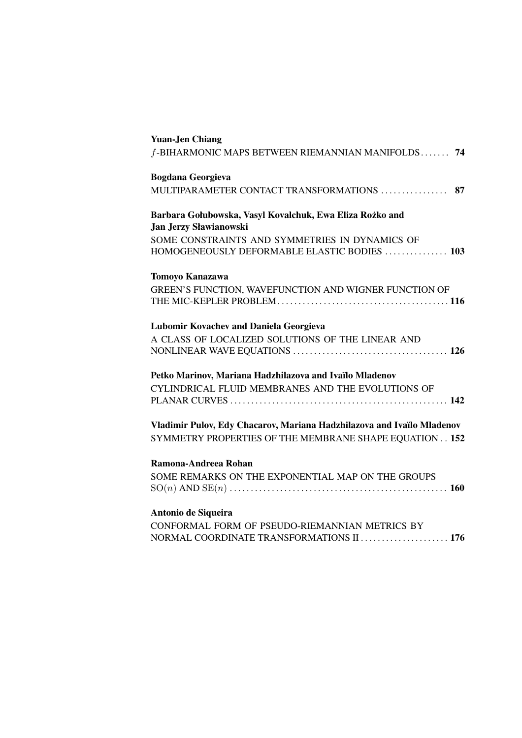| <b>Yuan-Jen Chiang</b>                                                                         |
|------------------------------------------------------------------------------------------------|
| f-BIHARMONIC MAPS BETWEEN RIEMANNIAN MANIFOLDS 74                                              |
| <b>Bogdana Georgieva</b>                                                                       |
| MULTIPARAMETER CONTACT TRANSFORMATIONS  87                                                     |
| Barbara Gołubowska, Vasyl Kovalchuk, Ewa Eliza Rożko and<br><b>Jan Jerzy Sławianowski</b>      |
| SOME CONSTRAINTS AND SYMMETRIES IN DYNAMICS OF<br>HOMOGENEOUSLY DEFORMABLE ELASTIC BODIES  103 |
| <b>Tomoyo Kanazawa</b>                                                                         |
| GREEN'S FUNCTION, WAVEFUNCTION AND WIGNER FUNCTION OF                                          |
| <b>Lubomir Kovachev and Daniela Georgieva</b>                                                  |
| A CLASS OF LOCALIZED SOLUTIONS OF THE LINEAR AND                                               |
| Petko Marinov, Mariana Hadzhilazova and Ivaïlo Mladenov                                        |
| CYLINDRICAL FLUID MEMBRANES AND THE EVOLUTIONS OF                                              |
| Vladimir Pulov, Edy Chacarov, Mariana Hadzhilazova and Ivaïlo Mladenov                         |
| SYMMETRY PROPERTIES OF THE MEMBRANE SHAPE EQUATION 152                                         |
| Ramona-Andreea Rohan                                                                           |
| SOME REMARKS ON THE EXPONENTIAL MAP ON THE GROUPS                                              |
| Antonio de Siqueira                                                                            |
| CONFORMAL FORM OF PSEUDO-RIEMANNIAN METRICS BY<br>NORMAL COORDINATE TRANSFORMATIONS II  176    |